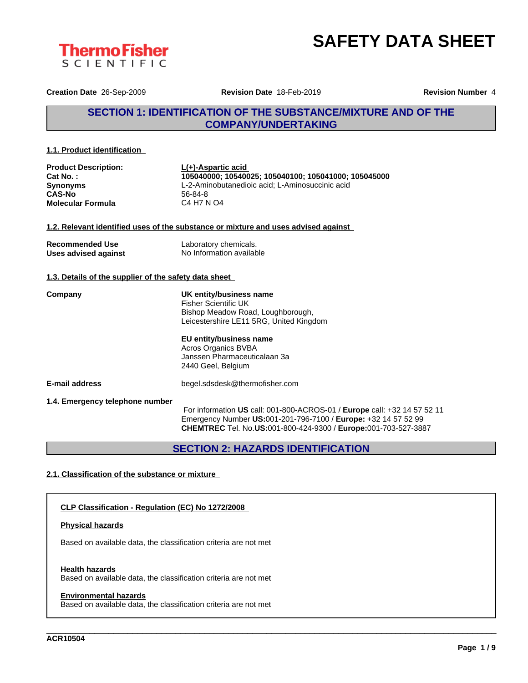



**Creation Date** 26-Sep-2009 **Revision Date** 18-Feb-2019 **Revision Number** 4

## **SECTION 1: IDENTIFICATION OF THE SUBSTANCE/MIXTURE AND OF THE COMPANY/UNDERTAKING**

#### **1.1. Product identification**

| <b>Product Description:</b> | L(+)-Aspartic acid                                   |  |
|-----------------------------|------------------------------------------------------|--|
| Cat No.:                    | 105040000: 10540025: 105040100: 105041000: 105045000 |  |
| <b>Synonyms</b>             | L-2-Aminobutanedioic acid: L-Aminosuccinic acid      |  |
| <b>CAS-No</b>               | $56-84-8$                                            |  |
| <b>Molecular Formula</b>    | C4 H7 N O4                                           |  |

#### **1.2. Relevant identified uses of the substance or mixture and uses advised against**

| <b>Recommended Use</b> | Laboratory chemicals.    |
|------------------------|--------------------------|
| Uses advised against   | No Information available |

#### **1.3. Details of the supplier of the safety data sheet**

**Company UK entity/business name** Fisher Scientific UK Bishop Meadow Road, Loughborough, Leicestershire LE11 5RG, United Kingdom

> **EU entity/business name** Acros Organics BVBA Janssen Pharmaceuticalaan 3a 2440 Geel, Belgium

**E-mail address** begel.sdsdesk@thermofisher.com

**1.4. Emergency telephone number**

For information **US** call: 001-800-ACROS-01 / **Europe** call: +32 14 57 52 11 Emergency Number **US:**001-201-796-7100 / **Europe:** +32 14 57 52 99 **CHEMTREC** Tel. No.**US:**001-800-424-9300 / **Europe:**001-703-527-3887

\_\_\_\_\_\_\_\_\_\_\_\_\_\_\_\_\_\_\_\_\_\_\_\_\_\_\_\_\_\_\_\_\_\_\_\_\_\_\_\_\_\_\_\_\_\_\_\_\_\_\_\_\_\_\_\_\_\_\_\_\_\_\_\_\_\_\_\_\_\_\_\_\_\_\_\_\_\_\_\_\_\_\_\_\_\_\_\_\_\_\_\_\_\_

**SECTION 2: HAZARDS IDENTIFICATION**

### **2.1. Classification of the substance or mixture**

### **CLP Classification - Regulation (EC) No 1272/2008**

#### **Physical hazards**

Based on available data, the classification criteria are not met

#### **Health hazards**

Based on available data, the classification criteria are not met

#### **Environmental hazards**

Based on available data, the classification criteria are not met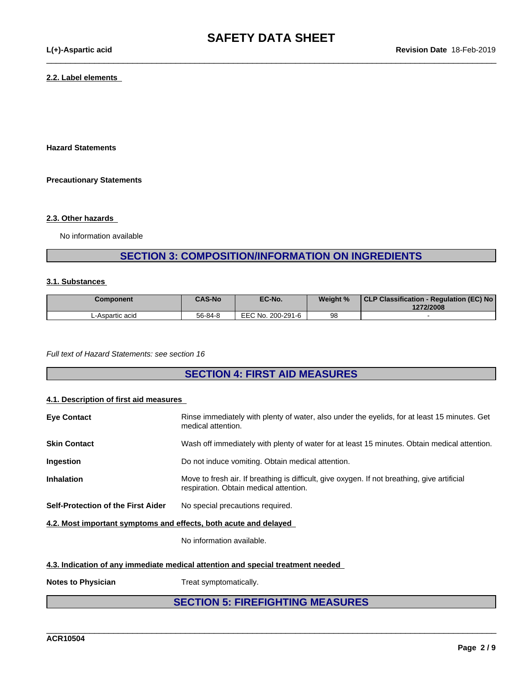$\_$  ,  $\_$  ,  $\_$  ,  $\_$  ,  $\_$  ,  $\_$  ,  $\_$  ,  $\_$  ,  $\_$  ,  $\_$  ,  $\_$  ,  $\_$  ,  $\_$  ,  $\_$  ,  $\_$  ,  $\_$  ,  $\_$  ,  $\_$  ,  $\_$  ,  $\_$  ,  $\_$  ,  $\_$  ,  $\_$  ,  $\_$  ,  $\_$  ,  $\_$  ,  $\_$  ,  $\_$  ,  $\_$  ,  $\_$  ,  $\_$  ,  $\_$  ,  $\_$  ,  $\_$  ,  $\_$  ,  $\_$  ,  $\_$  ,

#### **2.2. Label elements**

**Hazard Statements**

#### **Precautionary Statements**

#### **2.3. Other hazards**

No information available

# **SECTION 3: COMPOSITION/INFORMATION ON INGREDIENTS**

#### **3.1. Substances**

| Component       | <b>CAS-No</b> | EC-No.            | Weight % | CLP Classification - Regulation (EC) No<br>1272/2008 |
|-----------------|---------------|-------------------|----------|------------------------------------------------------|
| L-Aspartic acid | 56-84-8       | EEC No. 200-291-6 | 98       |                                                      |

*Full text of Hazard Statements: see section 16*

# **SECTION 4: FIRST AID MEASURES**

#### **4.1. Description of first aid measures**

| <b>Eye Contact</b>                                               | Rinse immediately with plenty of water, also under the eyelids, for at least 15 minutes. Get<br>medical attention.                     |
|------------------------------------------------------------------|----------------------------------------------------------------------------------------------------------------------------------------|
| <b>Skin Contact</b>                                              | Wash off immediately with plenty of water for at least 15 minutes. Obtain medical attention.                                           |
| Ingestion                                                        | Do not induce vomiting. Obtain medical attention.                                                                                      |
| <b>Inhalation</b>                                                | Move to fresh air. If breathing is difficult, give oxygen. If not breathing, give artificial<br>respiration. Obtain medical attention. |
| Self-Protection of the First Aider                               | No special precautions required.                                                                                                       |
| 4.2. Most important symptoms and effects, both acute and delayed |                                                                                                                                        |

No information available.

#### **4.3. Indication of any immediate medical attention and special treatment needed**

**Notes to Physician** Treat symptomatically.

# **SECTION 5: FIREFIGHTING MEASURES**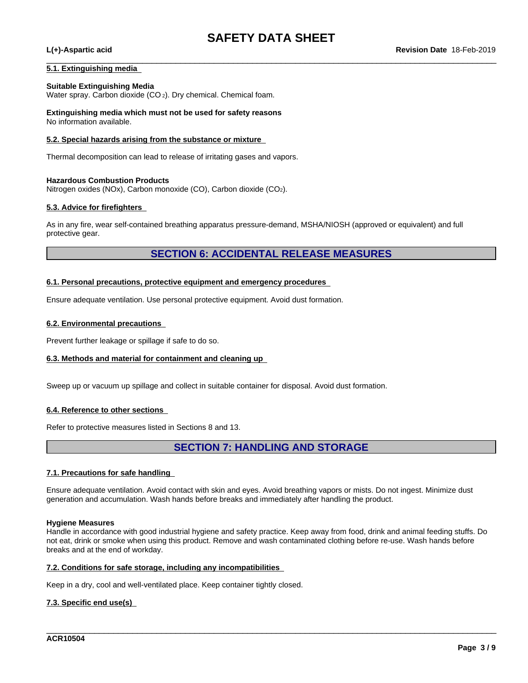$\_$  ,  $\_$  ,  $\_$  ,  $\_$  ,  $\_$  ,  $\_$  ,  $\_$  ,  $\_$  ,  $\_$  ,  $\_$  ,  $\_$  ,  $\_$  ,  $\_$  ,  $\_$  ,  $\_$  ,  $\_$  ,  $\_$  ,  $\_$  ,  $\_$  ,  $\_$  ,  $\_$  ,  $\_$  ,  $\_$  ,  $\_$  ,  $\_$  ,  $\_$  ,  $\_$  ,  $\_$  ,  $\_$  ,  $\_$  ,  $\_$  ,  $\_$  ,  $\_$  ,  $\_$  ,  $\_$  ,  $\_$  ,  $\_$  ,

#### **5.1. Extinguishing media**

#### **Suitable Extinguishing Media**

Water spray. Carbon dioxide (CO 2). Dry chemical. Chemical foam.

**Extinguishing media which must not be used for safety reasons** No information available.

#### **5.2. Special hazards arising from the substance or mixture**

Thermal decomposition can lead to release of irritating gases and vapors.

#### **Hazardous Combustion Products**

Nitrogen oxides (NOx), Carbon monoxide (CO), Carbon dioxide (CO2).

#### **5.3. Advice for firefighters**

As in any fire, wear self-contained breathing apparatus pressure-demand, MSHA/NIOSH (approved or equivalent) and full protective gear.

### **SECTION 6: ACCIDENTAL RELEASE MEASURES**

#### **6.1. Personal precautions, protective equipment and emergency procedures**

Ensure adequate ventilation. Use personal protective equipment. Avoid dust formation.

#### **6.2. Environmental precautions**

Prevent further leakage or spillage if safe to do so.

#### **6.3. Methods and material for containment and cleaning up**

Sweep up or vacuum up spillage and collect in suitable container for disposal. Avoid dust formation.

#### **6.4. Reference to other sections**

Refer to protective measures listed in Sections 8 and 13.

# **SECTION 7: HANDLING AND STORAGE**

#### **7.1. Precautions for safe handling**

Ensure adequate ventilation. Avoid contact with skin and eyes. Avoid breathing vapors or mists. Do not ingest. Minimize dust generation and accumulation. Wash hands before breaks and immediately after handling the product.

#### **Hygiene Measures**

Handle in accordance with good industrial hygiene and safety practice. Keep away from food, drink and animal feeding stuffs. Do not eat, drink or smoke when using this product. Remove and wash contaminated clothing before re-use. Wash hands before breaks and at the end of workday.

\_\_\_\_\_\_\_\_\_\_\_\_\_\_\_\_\_\_\_\_\_\_\_\_\_\_\_\_\_\_\_\_\_\_\_\_\_\_\_\_\_\_\_\_\_\_\_\_\_\_\_\_\_\_\_\_\_\_\_\_\_\_\_\_\_\_\_\_\_\_\_\_\_\_\_\_\_\_\_\_\_\_\_\_\_\_\_\_\_\_\_\_\_\_

#### **7.2. Conditions for safe storage, including any incompatibilities**

Keep in a dry, cool and well-ventilated place. Keep container tightly closed.

#### **7.3. Specific end use(s)**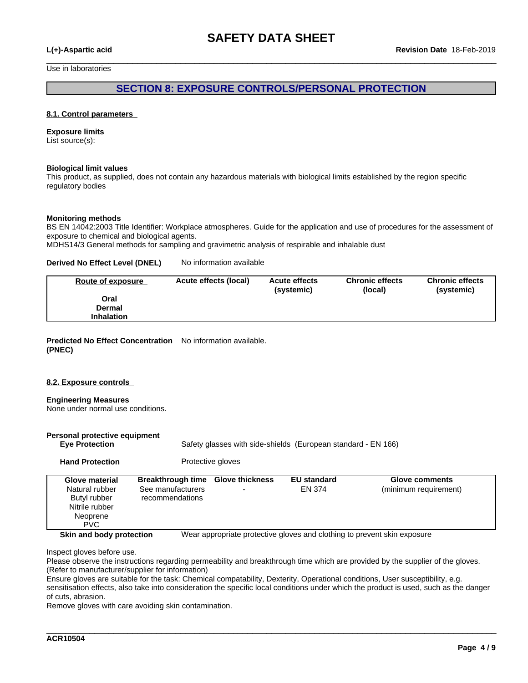$\_$  ,  $\_$  ,  $\_$  ,  $\_$  ,  $\_$  ,  $\_$  ,  $\_$  ,  $\_$  ,  $\_$  ,  $\_$  ,  $\_$  ,  $\_$  ,  $\_$  ,  $\_$  ,  $\_$  ,  $\_$  ,  $\_$  ,  $\_$  ,  $\_$  ,  $\_$  ,  $\_$  ,  $\_$  ,  $\_$  ,  $\_$  ,  $\_$  ,  $\_$  ,  $\_$  ,  $\_$  ,  $\_$  ,  $\_$  ,  $\_$  ,  $\_$  ,  $\_$  ,  $\_$  ,  $\_$  ,  $\_$  ,  $\_$  ,

Use in laboratories

### **SECTION 8: EXPOSURE CONTROLS/PERSONAL PROTECTION**

#### **8.1. Control parameters**

#### **Exposure limits**

List source(s):

#### **Biological limit values**

This product, as supplied, does not contain any hazardous materials with biological limits established by the region specific regulatory bodies

#### **Monitoring methods**

BS EN 14042:2003 Title Identifier: Workplace atmospheres. Guide for the application and use of procedures for the assessment of exposure to chemical and biological agents.

MDHS14/3 General methods for sampling and gravimetric analysis of respirable and inhalable dust

#### **Derived No Effect Level (DNEL)** No information available

| Route of exposure | Acute effects (local) | <b>Acute effects</b><br>(systemic) | <b>Chronic effects</b><br>(local) | <b>Chronic effects</b><br>(systemic) |
|-------------------|-----------------------|------------------------------------|-----------------------------------|--------------------------------------|
| Oral              |                       |                                    |                                   |                                      |
| Dermal            |                       |                                    |                                   |                                      |
| <b>Inhalation</b> |                       |                                    |                                   |                                      |

**Predicted No Effect Concentration** No information available. **(PNEC)**

#### **8.2. Exposure controls**

#### **Engineering Measures**

None under normal use conditions.

| Personal protective equipment<br><b>Eye Protection</b>                                              |                                                                           |                   | Safety glasses with side-shields (European standard - EN 166) |                                         |
|-----------------------------------------------------------------------------------------------------|---------------------------------------------------------------------------|-------------------|---------------------------------------------------------------|-----------------------------------------|
| <b>Hand Protection</b>                                                                              |                                                                           | Protective gloves |                                                               |                                         |
| <b>Glove material</b><br>Natural rubber<br>Butyl rubber<br>Nitrile rubber<br>Neoprene<br><b>PVC</b> | Breakthrough time Glove thickness<br>See manufacturers<br>recommendations |                   | <b>EU</b> standard<br>EN 374                                  | Glove comments<br>(minimum requirement) |

**Skin and body protection** Wear appropriate protective gloves and clothing to prevent skin exposure

\_\_\_\_\_\_\_\_\_\_\_\_\_\_\_\_\_\_\_\_\_\_\_\_\_\_\_\_\_\_\_\_\_\_\_\_\_\_\_\_\_\_\_\_\_\_\_\_\_\_\_\_\_\_\_\_\_\_\_\_\_\_\_\_\_\_\_\_\_\_\_\_\_\_\_\_\_\_\_\_\_\_\_\_\_\_\_\_\_\_\_\_\_\_

Inspect gloves before use.

Please observe the instructions regarding permeability and breakthrough time which are provided by the supplier of the gloves. (Refer to manufacturer/supplier for information)

Ensure gloves are suitable for the task: Chemical compatability, Dexterity, Operational conditions, User susceptibility, e.g. sensitisation effects, also take into consideration the specific local conditions under which the product is used, such as the danger of cuts, abrasion.

Remove gloves with care avoiding skin contamination.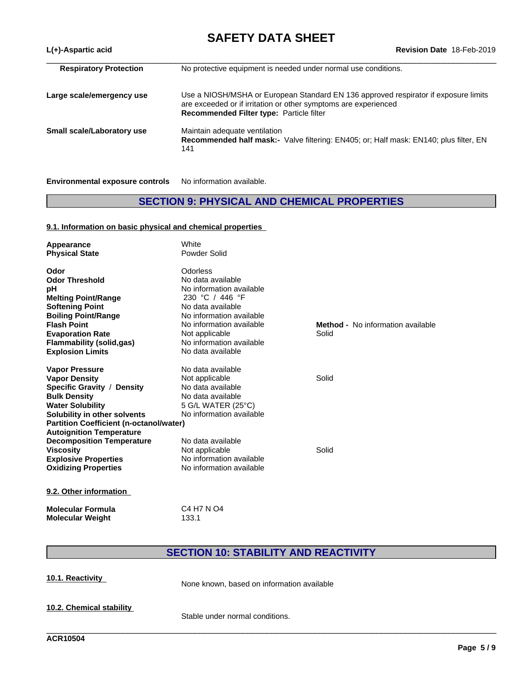| <b>Respiratory Protection</b> | No protective equipment is needed under normal use conditions.                                                                                                                                     |
|-------------------------------|----------------------------------------------------------------------------------------------------------------------------------------------------------------------------------------------------|
| Large scale/emergency use     | Use a NIOSH/MSHA or European Standard EN 136 approved respirator if exposure limits<br>are exceeded or if irritation or other symptoms are experienced<br>Recommended Filter type: Particle filter |
| Small scale/Laboratory use    | Maintain adequate ventilation<br>Recommended half mask:- Valve filtering: EN405; or; Half mask: EN140; plus filter, EN<br>141                                                                      |

**Environmental exposure controls** No information available.

# **SECTION 9: PHYSICAL AND CHEMICAL PROPERTIES**

#### **9.1. Information on basic physical and chemical properties**

| Appearance<br><b>Physical State</b>                                                                                                                                                                                                        | White<br>Powder Solid                                                                                                                                                                                                        |                                                   |
|--------------------------------------------------------------------------------------------------------------------------------------------------------------------------------------------------------------------------------------------|------------------------------------------------------------------------------------------------------------------------------------------------------------------------------------------------------------------------------|---------------------------------------------------|
| Odor<br><b>Odor Threshold</b><br>рH<br><b>Melting Point/Range</b><br><b>Softening Point</b><br><b>Boiling Point/Range</b><br><b>Flash Point</b><br><b>Evaporation Rate</b><br><b>Flammability (solid,gas)</b>                              | Odorless<br>No data available<br>No information available<br>230 °C / 446 °F<br>No data available<br>No information available<br>No information available<br>Not applicable<br>No information available<br>No data available | <b>Method -</b> No information available<br>Solid |
| <b>Explosion Limits</b><br><b>Vapor Pressure</b><br><b>Vapor Density</b><br>Specific Gravity / Density<br><b>Bulk Density</b><br><b>Water Solubility</b><br>Solubility in other solvents<br><b>Partition Coefficient (n-octanol/water)</b> | No data available<br>Not applicable<br>No data available<br>No data available<br>5 G/L WATER (25°C)<br>No information available                                                                                              | Solid                                             |
| <b>Autoignition Temperature</b><br><b>Decomposition Temperature</b><br><b>Viscosity</b><br><b>Explosive Properties</b><br><b>Oxidizing Properties</b><br>9.2. Other information                                                            | No data available<br>Not applicable<br>No information available<br>No information available                                                                                                                                  | Solid                                             |

**Molecular Formula** C4 H7 N O4<br>**Molecular Weight** 133.1 **Molecular Weight** 

# **SECTION 10: STABILITY AND REACTIVITY**

| 10.1. Reactivity         | None known, based on information available |
|--------------------------|--------------------------------------------|
| 10.2. Chemical stability | Stable under normal conditions.            |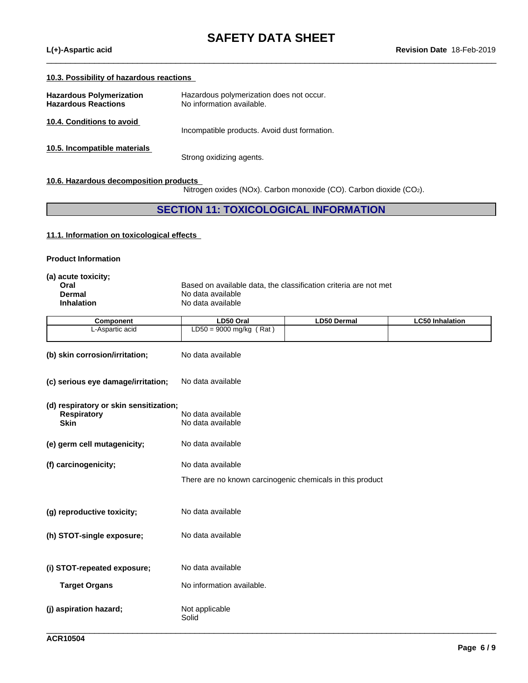#### **10.3. Possibility of hazardous reactions**

| <b>Hazardous Polymerization</b><br><b>Hazardous Reactions</b> | Hazardous polymerization does not occur.<br>No information available. |
|---------------------------------------------------------------|-----------------------------------------------------------------------|
| 10.4. Conditions to avoid                                     | Incompatible products. Avoid dust formation.                          |
| 10.5. Incompatible materials                                  | Strong oxidizing agents.                                              |

#### **10.6. Hazardous decomposition products**

Nitrogen oxides (NOx). Carbon monoxide (CO). Carbon dioxide (CO2).

 $\_$  ,  $\_$  ,  $\_$  ,  $\_$  ,  $\_$  ,  $\_$  ,  $\_$  ,  $\_$  ,  $\_$  ,  $\_$  ,  $\_$  ,  $\_$  ,  $\_$  ,  $\_$  ,  $\_$  ,  $\_$  ,  $\_$  ,  $\_$  ,  $\_$  ,  $\_$  ,  $\_$  ,  $\_$  ,  $\_$  ,  $\_$  ,  $\_$  ,  $\_$  ,  $\_$  ,  $\_$  ,  $\_$  ,  $\_$  ,  $\_$  ,  $\_$  ,  $\_$  ,  $\_$  ,  $\_$  ,  $\_$  ,  $\_$  ,

## **SECTION 11: TOXICOLOGICAL INFORMATION**

#### **11.1. Information on toxicologicaleffects**

#### **Product Information**

| (a) acute toxicity; |                                                                  |
|---------------------|------------------------------------------------------------------|
| Oral                | Based on available data, the classification criteria are not met |
| Dermal              | No data available                                                |
| <b>Inhalation</b>   | No data available                                                |
|                     |                                                                  |

| Component       | LD50 Oral                  | <b>LD50 Dermal</b> | ∟C50 Inhalation |
|-----------------|----------------------------|--------------------|-----------------|
| L-Aspartic acid | Rat<br>$LD50 = 9000$ mg/kg |                    |                 |
|                 |                            |                    |                 |

| (b) skin corrosion/irritation;         | No data available                                         |
|----------------------------------------|-----------------------------------------------------------|
| (c) serious eye damage/irritation;     | No data available                                         |
| (d) respiratory or skin sensitization; |                                                           |
| <b>Respiratory</b><br><b>Skin</b>      | No data available<br>No data available                    |
|                                        |                                                           |
| (e) germ cell mutagenicity;            | No data available                                         |
| (f) carcinogenicity;                   | No data available                                         |
|                                        | There are no known carcinogenic chemicals in this product |
|                                        |                                                           |
|                                        |                                                           |
| (g) reproductive toxicity;             | No data available                                         |
| (h) STOT-single exposure;              | No data available                                         |
|                                        |                                                           |
| (i) STOT-repeated exposure;            | No data available                                         |
| <b>Target Organs</b>                   | No information available.                                 |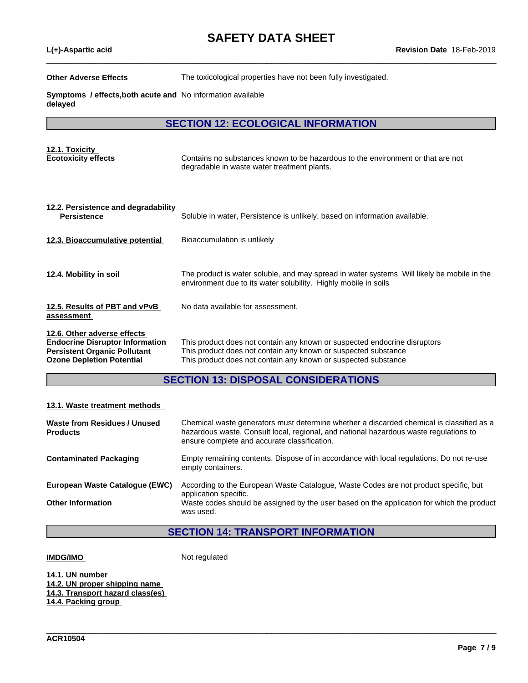$\_$  ,  $\_$  ,  $\_$  ,  $\_$  ,  $\_$  ,  $\_$  ,  $\_$  ,  $\_$  ,  $\_$  ,  $\_$  ,  $\_$  ,  $\_$  ,  $\_$  ,  $\_$  ,  $\_$  ,  $\_$  ,  $\_$  ,  $\_$  ,  $\_$  ,  $\_$  ,  $\_$  ,  $\_$  ,  $\_$  ,  $\_$  ,  $\_$  ,  $\_$  ,  $\_$  ,  $\_$  ,  $\_$  ,  $\_$  ,  $\_$  ,  $\_$  ,  $\_$  ,  $\_$  ,  $\_$  ,  $\_$  ,  $\_$  ,

**Other Adverse Effects** The toxicological properties have not been fully investigated.

**Symptoms / effects,both acute and** No information available **delayed**

**SECTION 12: ECOLOGICAL INFORMATION**

| 12.1. Toxicity<br><b>Ecotoxicity effects</b>                                                                                                     | Contains no substances known to be hazardous to the environment or that are not<br>degradable in waste water treatment plants.                                                                                |
|--------------------------------------------------------------------------------------------------------------------------------------------------|---------------------------------------------------------------------------------------------------------------------------------------------------------------------------------------------------------------|
| 12.2. Persistence and degradability<br><b>Persistence</b>                                                                                        | Soluble in water, Persistence is unlikely, based on information available.                                                                                                                                    |
| 12.3. Bioaccumulative potential                                                                                                                  | Bioaccumulation is unlikely                                                                                                                                                                                   |
| 12.4. Mobility in soil                                                                                                                           | The product is water soluble, and may spread in water systems Will likely be mobile in the<br>environment due to its water solubility. Highly mobile in soils                                                 |
| 12.5. Results of PBT and vPvB<br>assessment                                                                                                      | No data available for assessment.                                                                                                                                                                             |
| 12.6. Other adverse effects<br><b>Endocrine Disruptor Information</b><br><b>Persistent Organic Pollutant</b><br><b>Ozone Depletion Potential</b> | This product does not contain any known or suspected endocrine disruptors<br>This product does not contain any known or suspected substance<br>This product does not contain any known or suspected substance |

# **SECTION 13: DISPOSAL CONSIDERATIONS**

#### **13.1. Waste treatment methods**

| Waste from Residues / Unused<br><b>Products</b> | Chemical waste generators must determine whether a discarded chemical is classified as a<br>hazardous waste. Consult local, regional, and national hazardous waste regulations to<br>ensure complete and accurate classification. |
|-------------------------------------------------|-----------------------------------------------------------------------------------------------------------------------------------------------------------------------------------------------------------------------------------|
| <b>Contaminated Packaging</b>                   | Empty remaining contents. Dispose of in accordance with local regulations. Do not re-use<br>empty containers.                                                                                                                     |
| European Waste Catalogue (EWC)                  | According to the European Waste Catalogue, Waste Codes are not product specific, but<br>application specific.                                                                                                                     |
| <b>Other Information</b>                        | Waste codes should be assigned by the user based on the application for which the product<br>was used.                                                                                                                            |

# **SECTION 14: TRANSPORT INFORMATION**

\_\_\_\_\_\_\_\_\_\_\_\_\_\_\_\_\_\_\_\_\_\_\_\_\_\_\_\_\_\_\_\_\_\_\_\_\_\_\_\_\_\_\_\_\_\_\_\_\_\_\_\_\_\_\_\_\_\_\_\_\_\_\_\_\_\_\_\_\_\_\_\_\_\_\_\_\_\_\_\_\_\_\_\_\_\_\_\_\_\_\_\_\_\_

**IMDG/IMO** Not regulated

**14.1. UN number**

**14.2. UN proper shipping name 14.3. Transport hazard class(es) 14.4. Packing group**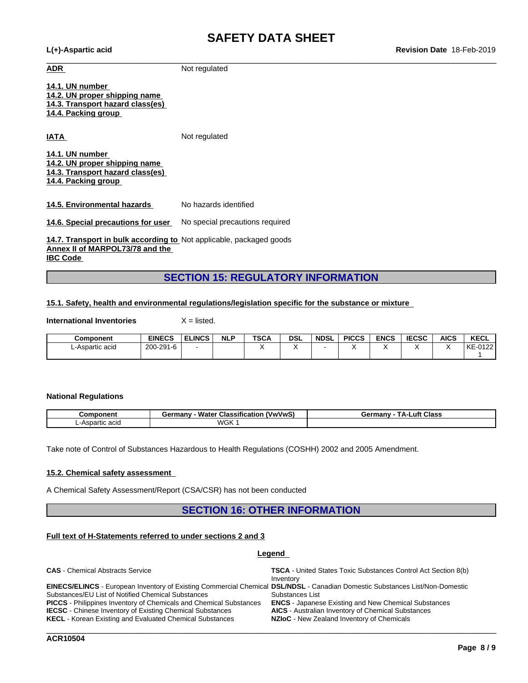**L(+)-Aspartic acid Revision Date** 18-Feb-2019

 $\_$  ,  $\_$  ,  $\_$  ,  $\_$  ,  $\_$  ,  $\_$  ,  $\_$  ,  $\_$  ,  $\_$  ,  $\_$  ,  $\_$  ,  $\_$  ,  $\_$  ,  $\_$  ,  $\_$  ,  $\_$  ,  $\_$  ,  $\_$  ,  $\_$  ,  $\_$  ,  $\_$  ,  $\_$  ,  $\_$  ,  $\_$  ,  $\_$  ,  $\_$  ,  $\_$  ,  $\_$  ,  $\_$  ,  $\_$  ,  $\_$  ,  $\_$  ,  $\_$  ,  $\_$  ,  $\_$  ,  $\_$  ,  $\_$  , **ADR** Not regulated

**14.1. UN number 14.2. UN proper shipping name 14.3. Transport hazard class(es) 14.4. Packing group**

**IATA** Not regulated

**14.1. UN number 14.2. UN proper shipping name 14.3. Transport hazard class(es) 14.4. Packing group**

**14.5. Environmental hazards** No hazards identified

**14.6. Special precautions for user** No special precautions required

**14.7. Transport in bulk according to** Not applicable, packaged goods **Annex II of MARPOL73/78 and the IBC Code** 

## **SECTION 15: REGULATORY INFORMATION**

#### **15.1. Safety, health and environmental regulations/legislation specific for the substance or mixture**

**International Inventories** X = listed.

| <b>Component</b> | <b>EINECS</b> | <b>ELINCS</b> | <b>NLP</b> | <b>TSCA</b> | <b>DSL</b> | <b>NDSL</b> | <b>PICCS</b> | <b>ENCS</b> | <b>IECSC</b> | <b>AICS</b> | <b>KECL</b>                      |
|------------------|---------------|---------------|------------|-------------|------------|-------------|--------------|-------------|--------------|-------------|----------------------------------|
| L-Aspartic acid  | 200-291-6     |               |            |             |            |             |              |             |              |             | 0.400<br>. L/ C<br>' r∟<br>-0122 |
|                  |               |               |            |             |            |             |              |             |              |             |                                  |

#### **National Regulations**

| .<br>ponent            | <br>rmanv<br>www.<br>Classification<br>vater<br>95 | $T_{\Delta}$ .<br>Class<br>-uft<br>Germany |
|------------------------|----------------------------------------------------|--------------------------------------------|
| -∆ene<br>: acio<br>ำแน | WGK                                                |                                            |

Take note of Control of Substances Hazardous to Health Regulations (COSHH) 2002 and 2005 Amendment.

#### **15.2. Chemical safety assessment**

A Chemical Safety Assessment/Report (CSA/CSR) has not been conducted

### **SECTION 16: OTHER INFORMATION**

### **Full text of H-Statements referred to undersections 2 and 3**

#### **Legend**

| <b>CAS</b> - Chemical Abstracts Service                                                                                             | <b>TSCA</b> - United States Toxic Substances Control Act Section 8(b)<br>Inventory |
|-------------------------------------------------------------------------------------------------------------------------------------|------------------------------------------------------------------------------------|
| <b>EINECS/ELINCS</b> - European Inventory of Existing Commercial Chemical DSL/NDSL - Canadian Domestic Substances List/Non-Domestic |                                                                                    |
| Substances/EU List of Notified Chemical Substances                                                                                  | Substances List                                                                    |
| <b>PICCS</b> - Philippines Inventory of Chemicals and Chemical Substances                                                           | <b>ENCS</b> - Japanese Existing and New Chemical Substances                        |
| <b>IECSC</b> - Chinese Inventory of Existing Chemical Substances                                                                    | <b>AICS</b> - Australian Inventory of Chemical Substances                          |
| <b>KECL</b> - Korean Existing and Evaluated Chemical Substances                                                                     | <b>NZIoC</b> - New Zealand Inventory of Chemicals                                  |